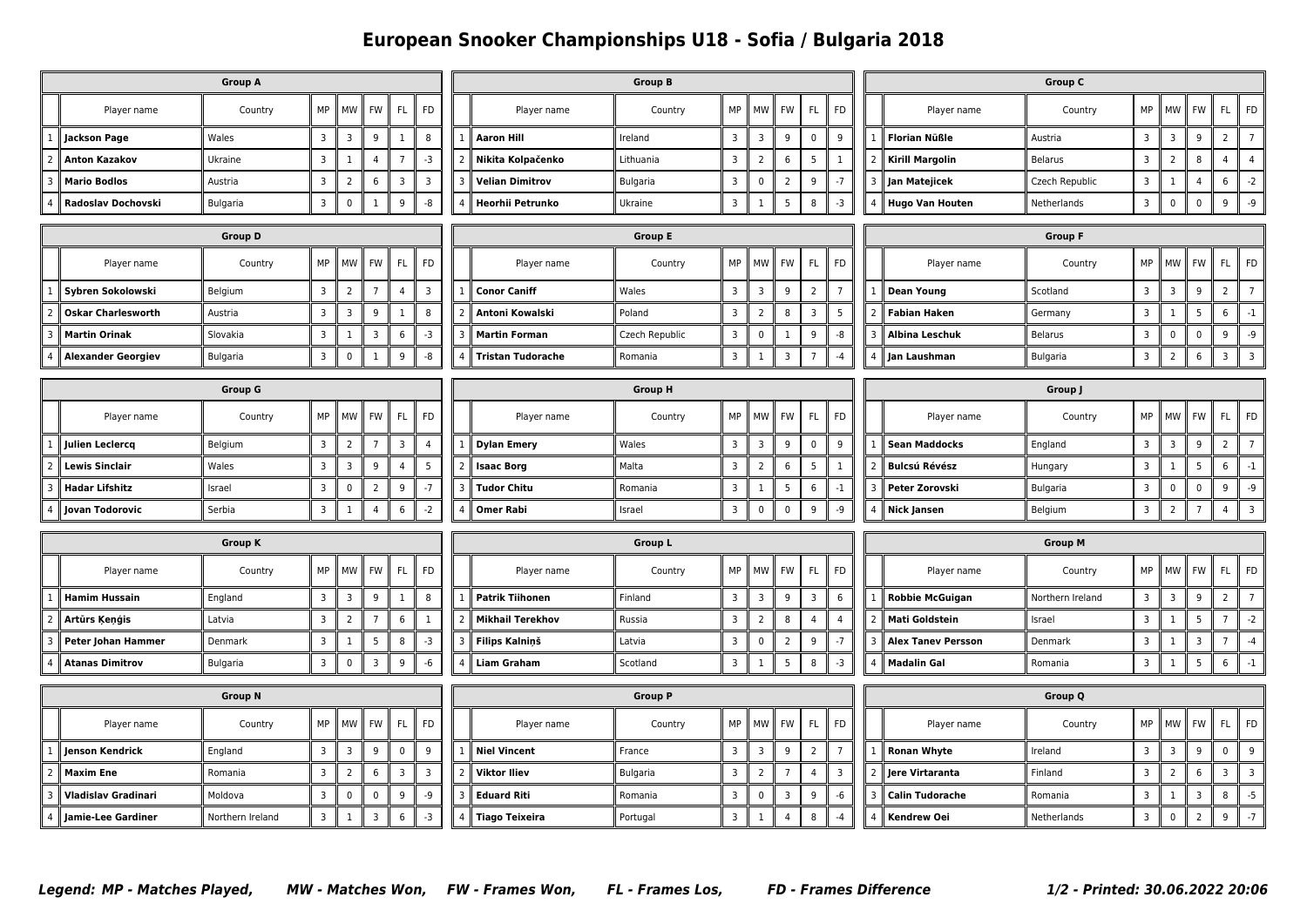## **European Snooker Championships U18 - Sofia / Bulgaria 2018**

| <b>Group A</b> |                            |                  |                |                |                |                         |                |                          |                          | <b>Group B</b> |                         | <b>Group C</b> |                |                |                |                |                           |                  |                         |                |                 |                |                |  |
|----------------|----------------------------|------------------|----------------|----------------|----------------|-------------------------|----------------|--------------------------|--------------------------|----------------|-------------------------|----------------|----------------|----------------|----------------|----------------|---------------------------|------------------|-------------------------|----------------|-----------------|----------------|----------------|--|
|                | Player name                | Country          | MP             | MW             | <b>FW</b>      | FL                      | <b>FD</b>      |                          | Player name              | Country        | MP                      | MW             | <b>FW</b>      | FL             | <b>FD</b>      |                | Player name               | Country          | MP                      | <b>MW</b>      | FW              | FL             | <b>FD</b>      |  |
| $\overline{1}$ | <b>Jackson Page</b>        | Wales            | $\overline{3}$ | $\overline{3}$ | 9              | $\mathbf{1}$            | 8              |                          | <b>Aaron Hill</b>        | Ireland        | $\overline{3}$          | $\mathbf{3}$   | 9              | $\mathbf 0$    | 9              |                | <b>Florian Nüßle</b>      | Austria          | $\overline{\mathbf{3}}$ | $\mathbf{3}$   | 9               | $\overline{2}$ | $\overline{7}$ |  |
|                | <b>Anton Kazakov</b>       | Ukraine          | 3              | 1              | 4              | $\overline{7}$          | $-3$           |                          | Nikita Kolpačenko        | Lithuania      | $\overline{3}$          | $\overline{2}$ | 6              | 5              | 1              |                | <b>Kirill Margolin</b>    | <b>Belarus</b>   | $\overline{3}$          | $\overline{2}$ | 8               | 4              | $\overline{4}$ |  |
| $\overline{3}$ | <b>Mario Bodlos</b>        | Austria          | $\overline{3}$ | $\overline{2}$ | 6              | 3                       | 3              |                          | <b>Velian Dimitrov</b>   | Bulgaria       | $\overline{3}$          | $\mathbf 0$    | $\overline{2}$ | 9              | $-7$           |                | Jan Matejicek             | Czech Republic   | $\overline{3}$          | $\mathbf{1}$   | $\overline{4}$  | 6              | $-2$           |  |
|                | Radoslav Dochovski         | Bulgaria         | $\overline{3}$ | $\mathbf 0$    | $\mathbf{1}$   | 9                       | -8             |                          | Heorhii Petrunko         | Ukraine        | $\overline{\mathbf{3}}$ | 1              | 5              | 8              | $-3$           |                | <b>Hugo Van Houten</b>    | Netherlands      | $\overline{\mathbf{3}}$ | $\mathbf 0$    | $\mathbf 0$     | 9              | -9             |  |
| <b>Group D</b> |                            |                  |                |                |                |                         |                |                          | <b>Group E</b>           |                |                         |                |                |                |                |                | <b>Group F</b>            |                  |                         |                |                 |                |                |  |
|                | Player name                | Country          | MP             | MW             | <b>FW</b>      | FL.                     | <b>FD</b>      |                          | Player name              | Country        | MP                      | MW             | <b>FW</b>      | FL.            | <b>FD</b>      |                | Player name               | Country          | MP                      | <b>MW</b>      | <b>FW</b>       | FL.            | <b>FD</b>      |  |
| $\mathbf{1}$   | Sybren Sokolowski          | Belgium          | $\overline{3}$ | $\overline{2}$ | $\overline{7}$ | $\overline{4}$          | $\overline{3}$ | $\mathbf{1}$             | <b>Conor Caniff</b>      | Wales          | $\overline{3}$          | 3              | 9              | $\overline{2}$ | $\overline{7}$ |                | <b>Dean Young</b>         | Scotland         | $\overline{3}$          | 3              | 9               | $\overline{2}$ | $\overline{7}$ |  |
| $\overline{2}$ | <b>Oskar Charlesworth</b>  | Austria          | $\overline{3}$ | $\overline{3}$ | 9              | $\mathbf{1}$            | 8              | $\overline{\phantom{0}}$ | Antoni Kowalski          | Poland         | $\overline{3}$          | $\overline{2}$ | 8              | $\overline{3}$ | 5              |                | <b>Fabian Haken</b>       | Germany          | $\overline{\mathbf{3}}$ | $\mathbf{1}$   | 5               | 6              | $^{\rm -1}$    |  |
| $\overline{3}$ | <b>Martin Orinak</b>       | Slovakia         | $\overline{3}$ | 1              | 3              | $\,6\,$                 | $-3$           | 3                        | <b>Martin Forman</b>     | Czech Republic | $\overline{3}$          | $\mathbf 0$    | 1              | 9              | -8             |                | <b>Albina Leschuk</b>     | Belarus          | $\overline{\mathbf{3}}$ | $\mathsf 0$    | $\pmb{0}$       | 9              | -9             |  |
|                | <b>Alexander Georgiev</b>  | Bulgaria         | $\overline{3}$ | $\mathbf 0$    | $\mathbf{1}$   | 9                       | -8             |                          | <b>Tristan Tudorache</b> | Romania        | $\overline{3}$          | 1              | $\overline{3}$ | $\overline{7}$ | $-4$           |                | Jan Laushman              | Bulgaria         | $\overline{3}$          | $\overline{2}$ | $6\overline{6}$ | $\overline{3}$ | $\overline{3}$ |  |
| <b>Group G</b> |                            |                  |                |                |                |                         |                |                          |                          | <b>Group H</b> |                         | Group J        |                |                |                |                |                           |                  |                         |                |                 |                |                |  |
|                |                            |                  |                |                |                |                         |                |                          |                          |                |                         |                |                |                |                |                |                           |                  |                         |                |                 |                |                |  |
|                | Player name                | Country          | MP             | <b>MW</b>      | <b>FW</b>      | FL.                     | <b>FD</b>      |                          | Player name              | Country        | MP                      | MW             | <b>FW</b>      | FL.            | <b>FD</b>      |                | Player name               | Country          | MP                      | MW             | FW              | FL.            | <b>FD</b>      |  |
| $\overline{1}$ | <b>Julien Leclercq</b>     | Belgium          | $\overline{3}$ | $\overline{2}$ | $\overline{7}$ | $\overline{\mathbf{3}}$ | $\overline{4}$ |                          | <b>Dylan Emery</b>       | Wales          | $\overline{3}$          | 3              | 9              | $\mathsf 0$    | 9              |                | <b>Sean Maddocks</b>      | England          | $\overline{\mathbf{3}}$ | $\mathbf{3}$   | 9               | $\overline{2}$ | $\overline{7}$ |  |
| $\overline{2}$ | <b>Lewis Sinclair</b>      | Wales            | $\overline{3}$ | $\overline{3}$ | 9              | $\overline{4}$          | 5              |                          | <b>Isaac Borg</b>        | Malta          | $\overline{3}$          | $\overline{2}$ | 6              | 5              | 1              |                | <b>Bulcsú Révész</b>      | Hungary          | $\overline{3}$          | $\mathbf{1}$   | 5               | 6              | $^{\rm -1}$    |  |
| 3              | <b>Hadar Lifshitz</b>      | Israel           | $\overline{3}$ | $\mathbf 0$    | $\overline{2}$ | 9                       | $-7$           | 3                        | <b>Tudor Chitu</b>       | Romania        | $\overline{\mathbf{3}}$ | 1              | 5              | 6              | $-1$           |                | Peter Zorovski            | Bulgaria         | $\overline{3}$          | $\mathbf 0$    | $\mathbf 0$     | 9              | -9             |  |
| $\overline{4}$ | Jovan Todorovic            | Serbia           | $\overline{3}$ | $\mathbf{1}$   | $\overline{4}$ | 6                       | $-2$           |                          | <b>Omer Rabi</b>         | Israel         | $\overline{3}$          | $\mathbf 0$    | $\mathbf 0$    | 9              | -9             | $\overline{4}$ | Nick Jansen               | Belgium          | $\overline{3}$          | $\overline{2}$ | $\overline{7}$  | $\overline{4}$ | $\overline{3}$ |  |
| <b>Group K</b> |                            |                  |                |                |                |                         |                |                          | <b>Group L</b>           |                |                         |                |                |                |                |                | <b>Group M</b>            |                  |                         |                |                 |                |                |  |
|                | Player name                | Country          | MP             | MW             | <b>FW</b>      | FL.                     | <b>FD</b>      |                          | Player name              | Country        | MP                      | MW             | FW             | FL.            | <b>FD</b>      |                | Player name               | Country          | MP                      | <b>MW</b>      | <b>FW</b>       | FL.            | <b>FD</b>      |  |
| $\overline{1}$ | <b>Hamim Hussain</b>       | England          | $\overline{3}$ | $\overline{3}$ | 9              | $\mathbf{1}$            | 8              | $\mathbf{1}$             | <b>Patrik Tiihonen</b>   | Finland        | $\overline{3}$          | 3              | 9              | $\overline{3}$ | 6              |                | <b>Robbie McGuigan</b>    | Northern Ireland | $\overline{3}$          | 3              | 9               | $\overline{2}$ | $\overline{7}$ |  |
| $\overline{2}$ | Artūrs Kenģis              | Latvia           | $\overline{3}$ | $\overline{2}$ | $\overline{7}$ | $\,6\,$                 | $\mathbf{1}$   |                          | <b>Mikhail Terekhov</b>  | Russia         | $\overline{3}$          | $\overline{2}$ | 8              | $\overline{4}$ | $\overline{4}$ |                | <b>Mati Goldstein</b>     | Israel           | $\overline{\mathbf{3}}$ | $\mathbf{1}$   | 5               | $\overline{7}$ | $-2$           |  |
| 3              | Peter Johan Hammer         | Denmark          | $\overline{3}$ | $\mathbf{1}$   | 5              | 8                       | $-3$           | 3                        | <b>Filips Kalninš</b>    | Latvia         | $\overline{3}$          | $\mathbf 0$    | $\overline{2}$ | 9              | $-7$           |                | <b>Alex Tanev Persson</b> | Denmark          | $\overline{3}$          | $\mathbf{1}$   | $\overline{3}$  | $\overline{7}$ | $-4$           |  |
| $\overline{4}$ | Atanas Dimitrov            | Bulgaria         | $\overline{3}$ | $\mathbf 0$    | 3              | 9                       | $-6$           |                          | <b>Liam Graham</b>       | Scotland       | $\overline{\mathbf{3}}$ | 1              | 5              | 8              | $-3$           |                | Madalin Gal               | Romania          | $\overline{\mathbf{3}}$ | $\mathbf{1}$   | 5               | 6              | $-1$           |  |
| <b>Group N</b> |                            |                  |                |                |                |                         |                |                          | <b>Group P</b>           |                |                         |                |                |                |                |                | <b>Group Q</b>            |                  |                         |                |                 |                |                |  |
|                | Player name                | Country          | MP             | MW             | FW             | FL.                     | <b>FD</b>      |                          | Player name              | Country        | MP                      | MW             | <b>FW</b>      | FL.            | <b>FD</b>      |                | Player name               | Country          | MP                      | <b>MW</b>      | FW              | FL.            | <b>FD</b>      |  |
|                |                            |                  |                |                |                |                         |                |                          |                          |                |                         |                |                |                |                |                |                           |                  |                         |                |                 |                |                |  |
| $\mathbf{1}$   | Jenson Kendrick            | England          | 3              | $\overline{3}$ | 9              | $\mathbf 0$             | 9              |                          | <b>Niel Vincent</b>      | France         | $\overline{3}$          | 3              | 9              | $\overline{2}$ | $\overline{7}$ |                | <b>Ronan Whyte</b>        | Ireland          | $\overline{3}$          | $\overline{3}$ | 9               | 0              | 9              |  |
| $\overline{2}$ | <b>Maxim Ene</b>           | Romania          | 3              | $\overline{2}$ | 6              | 3                       | 3              |                          | <b>Viktor Iliev</b>      | Bulgaria       | $\overline{\mathbf{3}}$ | $\overline{2}$ | $\overline{7}$ | $\overline{4}$ | 3              |                | Jere Virtaranta           | Finland          | $\overline{3}$          | $\overline{2}$ | 6               | 3              | $\overline{3}$ |  |
| $\overline{3}$ | <b>Vladislav Gradinari</b> | Moldova          | $\overline{3}$ | $\mathbf 0$    | $\mathbf 0$    | 9                       | -9             | 3                        | <b>Eduard Riti</b>       | Romania        | $\overline{3}$          | $\mathbf 0$    | $\overline{3}$ | 9              | -6             |                | <b>Calin Tudorache</b>    | Romania          | $\overline{3}$          | $\mathbf{1}$   | $\overline{3}$  | 8              | $-5$           |  |
|                | 4 Jamie-Lee Gardiner       | Northern Ireland | $\overline{3}$ | $\mathbf{1}$   | 3              | 6                       | $-3$           |                          | <b>Tiago Teixeira</b>    | Portugal       | $\overline{3}$          | $\mathbf{1}$   | $\overline{4}$ | 8              | $-4$           | $\overline{4}$ | <b>Kendrew Oei</b>        | Netherlands      | $\overline{3}$          | $\mathbf 0$    | $\overline{2}$  | 9              | $-7$           |  |